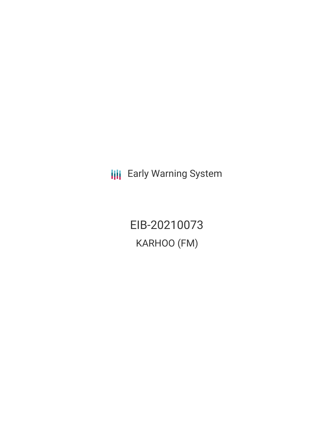**III** Early Warning System

EIB-20210073 KARHOO (FM)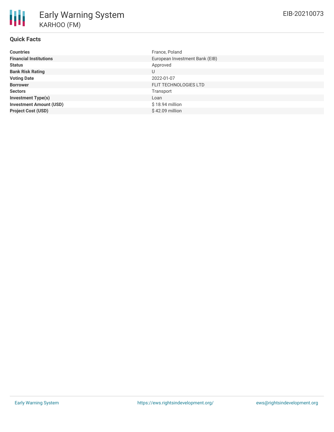# **Quick Facts**

| <b>Countries</b>               | France, Poland                 |
|--------------------------------|--------------------------------|
| <b>Financial Institutions</b>  | European Investment Bank (EIB) |
| <b>Status</b>                  | Approved                       |
| <b>Bank Risk Rating</b>        | U                              |
| <b>Voting Date</b>             | 2022-01-07                     |
| <b>Borrower</b>                | FLIT TECHNOLOGIES LTD          |
| <b>Sectors</b>                 | Transport                      |
| <b>Investment Type(s)</b>      | Loan                           |
| <b>Investment Amount (USD)</b> | $$18.94$ million               |
| <b>Project Cost (USD)</b>      | \$42.09 million                |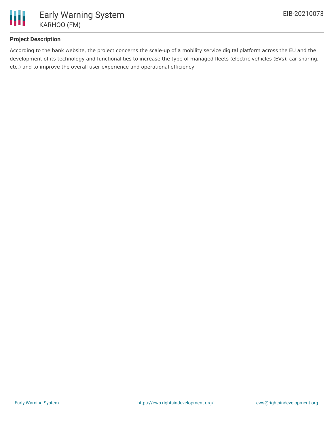

# **Project Description**

According to the bank website, the project concerns the scale-up of a mobility service digital platform across the EU and the development of its technology and functionalities to increase the type of managed fleets (electric vehicles (EVs), car-sharing, etc.) and to improve the overall user experience and operational efficiency.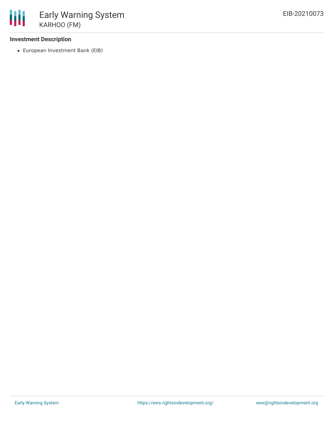### **Investment Description**

European Investment Bank (EIB)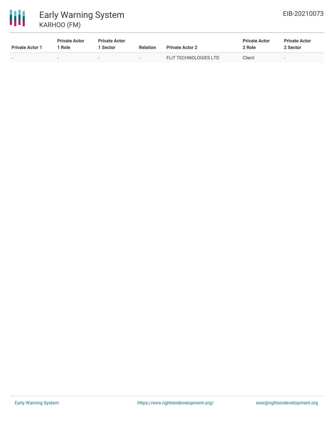# 冊 Early Warning System KARHOO (FM)

| <b>Private Actor 1</b>   | <b>Private Actor</b><br>: Role | <b>Private Actor</b><br>1 Sector | <b>Relation</b> | <b>Private Actor 2</b> | <b>Private Actor</b><br>2 Role | <b>Private Actor</b><br>2 Sector |
|--------------------------|--------------------------------|----------------------------------|-----------------|------------------------|--------------------------------|----------------------------------|
| $\overline{\phantom{0}}$ | $\overline{\phantom{a}}$       | $\overline{\phantom{a}}$         | $\sim$          | FLIT TECHNOLOGIES LTD  | Client                         |                                  |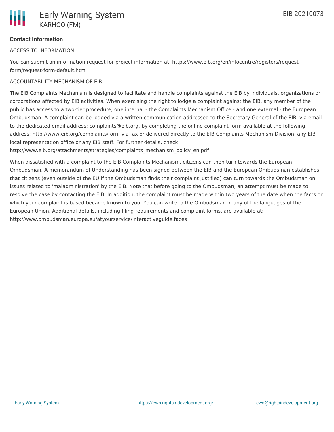

# **Contact Information**

#### ACCESS TO INFORMATION

You can submit an information request for project information at: https://www.eib.org/en/infocentre/registers/requestform/request-form-default.htm

#### ACCOUNTABILITY MECHANISM OF EIB

The EIB Complaints Mechanism is designed to facilitate and handle complaints against the EIB by individuals, organizations or corporations affected by EIB activities. When exercising the right to lodge a complaint against the EIB, any member of the public has access to a two-tier procedure, one internal - the Complaints Mechanism Office - and one external - the European Ombudsman. A complaint can be lodged via a written communication addressed to the Secretary General of the EIB, via email to the dedicated email address: complaints@eib.org, by completing the online complaint form available at the following address: http://www.eib.org/complaints/form via fax or delivered directly to the EIB Complaints Mechanism Division, any EIB local representation office or any EIB staff. For further details, check:

http://www.eib.org/attachments/strategies/complaints\_mechanism\_policy\_en.pdf

When dissatisfied with a complaint to the EIB Complaints Mechanism, citizens can then turn towards the European Ombudsman. A memorandum of Understanding has been signed between the EIB and the European Ombudsman establishes that citizens (even outside of the EU if the Ombudsman finds their complaint justified) can turn towards the Ombudsman on issues related to 'maladministration' by the EIB. Note that before going to the Ombudsman, an attempt must be made to resolve the case by contacting the EIB. In addition, the complaint must be made within two years of the date when the facts on which your complaint is based became known to you. You can write to the Ombudsman in any of the languages of the European Union. Additional details, including filing requirements and complaint forms, are available at: http://www.ombudsman.europa.eu/atyourservice/interactiveguide.faces